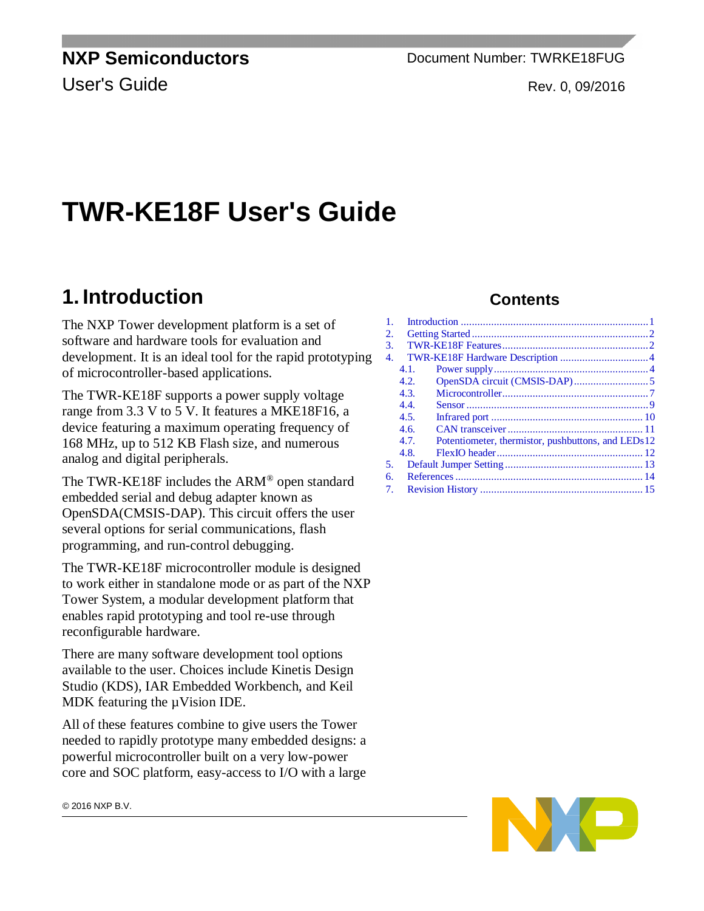**NXP Semiconductors** Document Number: TWRKE18FUG User's Guide Rev. 0, 09/2016

# **TWR-KE18F User's Guide**

## <span id="page-0-0"></span>**1. Introduction**

The NXP Tower development platform is a set of software and hardware tools for evaluation and development. It is an ideal tool for the rapid prototyping of microcontroller-based applications.

The TWR-KE18F supports a power supply voltage range from 3.3 V to 5 V. It features a MKE18F16, a device featuring a maximum operating frequency of 168 MHz, up to 512 KB Flash size, and numerous analog and digital peripherals.

The TWR-KE18F includes the ARM® open standard embedded serial and debug adapter known as OpenSDA(CMSIS-DAP). This circuit offers the user several options for serial communications, flash programming, and run-control debugging.

The TWR-KE18F microcontroller module is designed to work either in standalone mode or as part of the NXP Tower System, a modular development platform that enables rapid prototyping and tool re-use through reconfigurable hardware.

There are many software development tool options available to the user. Choices include Kinetis Design Studio (KDS), IAR Embedded Workbench, and Keil MDK featuring the  $\mu$ Vision IDE.

All of these features combine to give users the Tower needed to rapidly prototype many embedded designs: a powerful microcontroller built on a very low-power core and SOC platform, easy-access to I/O with a large

#### **Contents**

| 1. |      |                                                    |  |
|----|------|----------------------------------------------------|--|
| 2. |      |                                                    |  |
| 3. |      |                                                    |  |
| 4. |      |                                                    |  |
|    | 4.1. |                                                    |  |
|    | 4.2. |                                                    |  |
|    | 4.3. |                                                    |  |
|    | 4.4. |                                                    |  |
|    | 4.5. |                                                    |  |
|    | 4.6. |                                                    |  |
|    | 4.7. | Potentiometer, thermistor, pushbuttons, and LEDs12 |  |
|    | 4.8. |                                                    |  |
| 5. |      |                                                    |  |
| б. |      |                                                    |  |
| 7. |      |                                                    |  |
|    |      |                                                    |  |



© 2016 NXP B.V.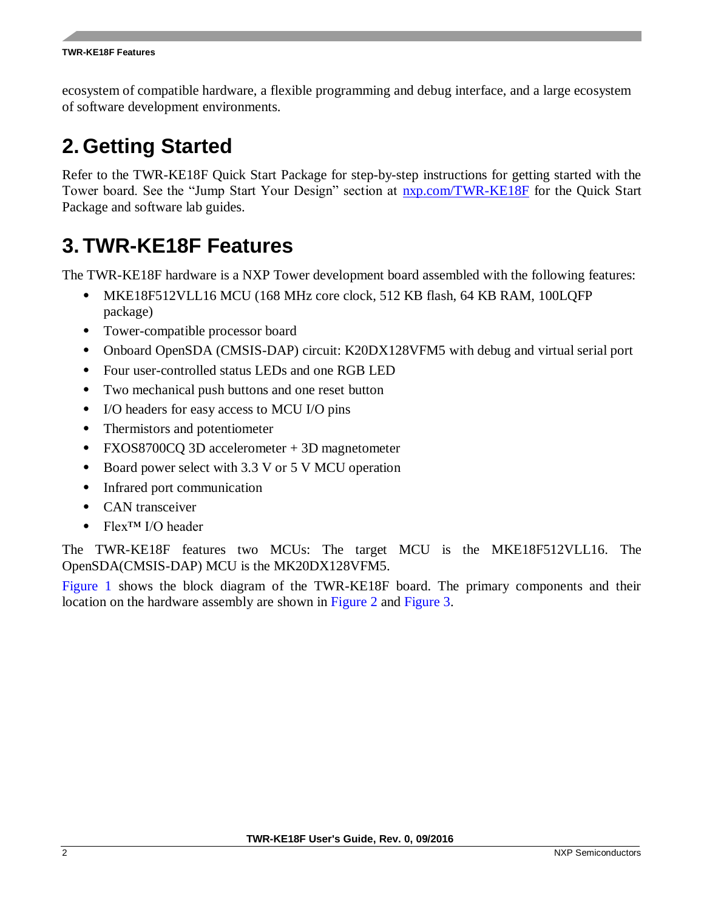ecosystem of compatible hardware, a flexible programming and debug interface, and a large ecosystem of software development environments.

## <span id="page-1-0"></span>**2. Getting Started**

Refer to the TWR-KE18F Quick Start Package for step-by-step instructions for getting started with the Tower board. See the "Jump Start Your Design" section at [nxp.com/TWR-KE18F](http://www.nxp.com/TWR-KE18F) for the Quick Start Package and software lab guides.

## <span id="page-1-1"></span>**3. TWR-KE18F Features**

The TWR-KE18F hardware is a NXP Tower development board assembled with the following features:

- MKE18F512VLL16 MCU (168 MHz core clock, 512 KB flash, 64 KB RAM, 100LQFP) package)
- Tower-compatible processor board
- Onboard OpenSDA (CMSIS-DAP) circuit: K20DX128VFM5 with debug and virtual serial port
- Four user-controlled status LEDs and one RGB LED
- Two mechanical push buttons and one reset button
- I/O headers for easy access to MCU I/O pins
- Thermistors and potentiometer
- FXOS8700CQ 3D accelerometer + 3D magnetometer
- Board power select with 3.3 V or 5 V MCU operation
- Infrared port communication
- CAN transceiver
- Flex™ I/O header

The TWR-KE18F features two MCUs: The target MCU is the MKE18F512VLL16. The OpenSDA(CMSIS-DAP) MCU is the MK20DX128VFM5.

[Figure 1](#page-2-0) shows the block diagram of the TWR-KE18F board. The primary components and their location on the hardware assembly are shown in [Figure 2](#page-2-1) and [Figure 3.](#page-3-2)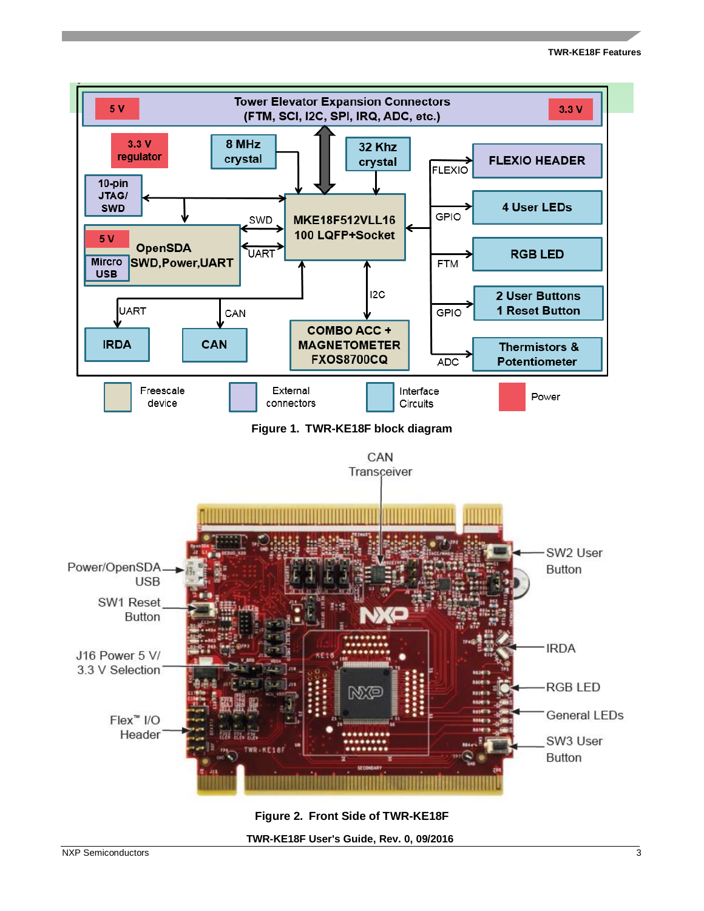<span id="page-2-0"></span>

<span id="page-2-1"></span>**Figure 2. Front Side of TWR-KE18F** 

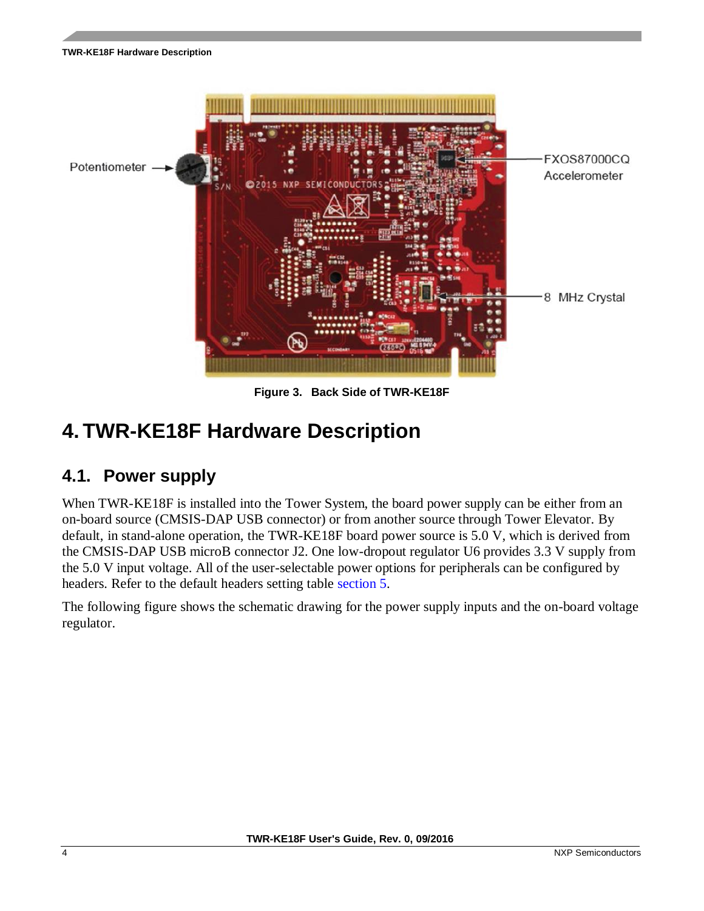**TWR-KE18F Hardware Description**



<span id="page-3-2"></span>**Figure 3. Back Side of TWR-KE18F** 

## <span id="page-3-0"></span>**4. TWR-KE18F Hardware Description**

### <span id="page-3-1"></span>**4.1. Power supply**

When TWR-KE18F is installed into the Tower System, the board power supply can be either from an on-board source (CMSIS-DAP USB connector) or from another source through Tower Elevator. By default, in stand-alone operation, the TWR-KE18F board power source is 5.0 V, which is derived from the CMSIS-DAP USB microB connector J2. One low-dropout regulator U6 provides 3.3 V supply from the 5.0 V input voltage. All of the user-selectable power options for peripherals can be configured by headers. Refer to the default headers setting table section [5.](#page-12-0)

The following figure shows the schematic drawing for the power supply inputs and the on-board voltage regulator.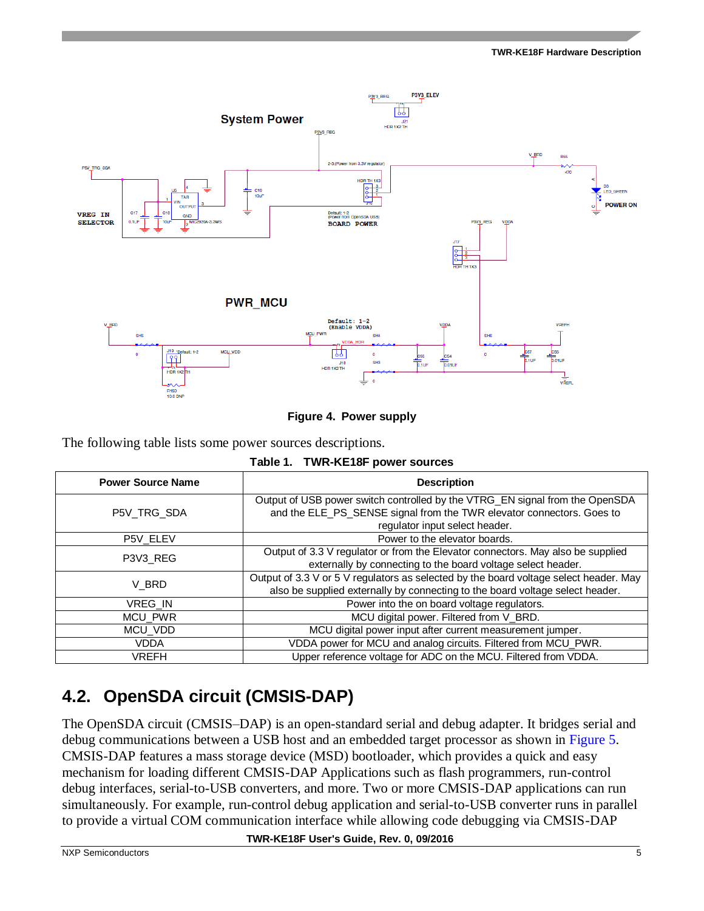

**Figure 4. Power supply** 

The following table lists some power sources descriptions.

**Table 1. TWR-KE18F power sources**

| <b>Power Source Name</b>                  | <b>Description</b>                                                                                                                                                                      |  |  |
|-------------------------------------------|-----------------------------------------------------------------------------------------------------------------------------------------------------------------------------------------|--|--|
| P5V TRG SDA                               | Output of USB power switch controlled by the VTRG_EN signal from the OpenSDA<br>and the ELE_PS_SENSE signal from the TWR elevator connectors. Goes to<br>regulator input select header. |  |  |
| Power to the elevator boards.<br>P5V_ELEV |                                                                                                                                                                                         |  |  |
| P3V3 REG                                  | Output of 3.3 V regulator or from the Elevator connectors. May also be supplied<br>externally by connecting to the board voltage select header.                                         |  |  |
| V BRD                                     | Output of 3.3 V or 5 V regulators as selected by the board voltage select header. May<br>also be supplied externally by connecting to the board voltage select header.                  |  |  |
| VREG IN                                   | Power into the on board voltage regulators.                                                                                                                                             |  |  |
| <b>MCU PWR</b>                            | MCU digital power. Filtered from V_BRD.                                                                                                                                                 |  |  |
| MCU_VDD                                   | MCU digital power input after current measurement jumper.                                                                                                                               |  |  |
| <b>VDDA</b>                               | VDDA power for MCU and analog circuits. Filtered from MCU_PWR.                                                                                                                          |  |  |
| VREFH                                     | Upper reference voltage for ADC on the MCU. Filtered from VDDA.                                                                                                                         |  |  |

## <span id="page-4-0"></span>**4.2. OpenSDA circuit (CMSIS-DAP)**

The OpenSDA circuit (CMSIS–DAP) is an open-standard serial and debug adapter. It bridges serial and debug communications between a USB host and an embedded target processor as shown in [Figure 5.](#page-5-0) CMSIS-DAP features a mass storage device (MSD) bootloader, which provides a quick and easy mechanism for loading different CMSIS-DAP Applications such as flash programmers, run-control debug interfaces, serial-to-USB converters, and more. Two or more CMSIS-DAP applications can run simultaneously. For example, run-control debug application and serial-to-USB converter runs in parallel to provide a virtual COM communication interface while allowing code debugging via CMSIS-DAP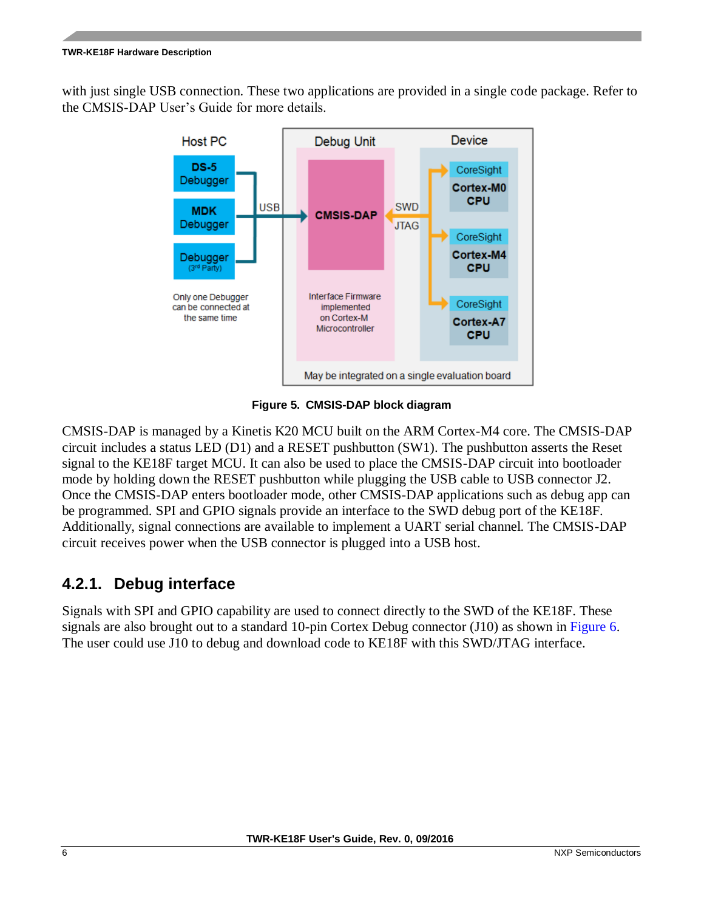#### **TWR-KE18F Hardware Description**

with just single USB connection. These two applications are provided in a single code package. Refer to the CMSIS-DAP User's Guide for more details.



**Figure 5. CMSIS-DAP block diagram**

<span id="page-5-0"></span>CMSIS-DAP is managed by a Kinetis K20 MCU built on the ARM Cortex-M4 core. The CMSIS-DAP circuit includes a status LED (D1) and a RESET pushbutton (SW1). The pushbutton asserts the Reset signal to the KE18F target MCU. It can also be used to place the CMSIS-DAP circuit into bootloader mode by holding down the RESET pushbutton while plugging the USB cable to USB connector J2. Once the CMSIS-DAP enters bootloader mode, other CMSIS-DAP applications such as debug app can be programmed. SPI and GPIO signals provide an interface to the SWD debug port of the KE18F. Additionally, signal connections are available to implement a UART serial channel. The CMSIS-DAP circuit receives power when the USB connector is plugged into a USB host.

#### **4.2.1. Debug interface**

Signals with SPI and GPIO capability are used to connect directly to the SWD of the KE18F. These signals are also brought out to a standard 10-pin Cortex Debug connector (J10) as shown in [Figure 6.](#page-6-1) The user could use J10 to debug and download code to KE18F with this SWD/JTAG interface.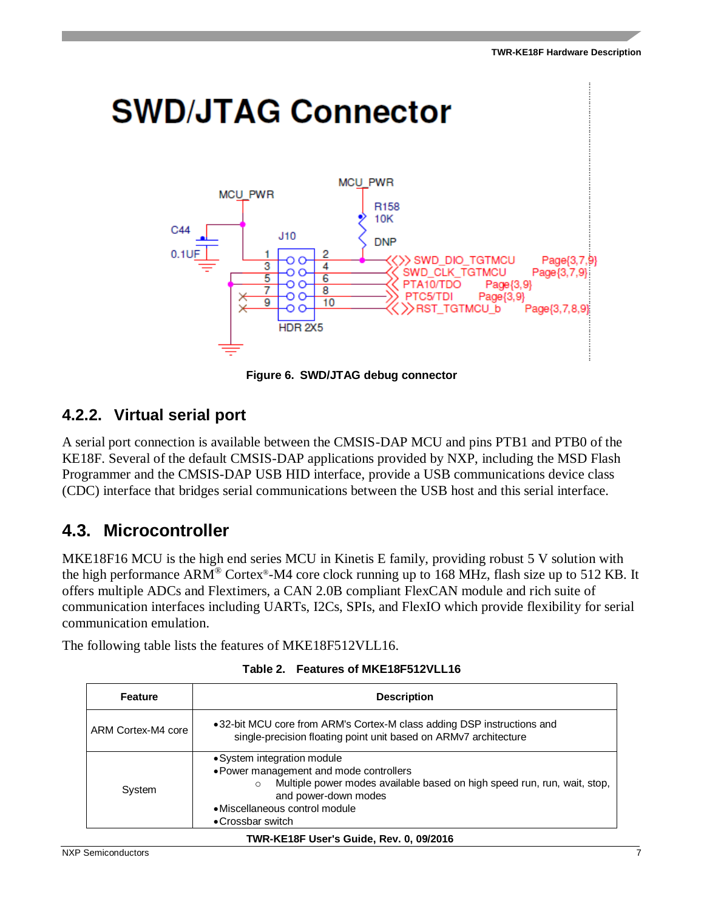

**Figure 6. SWD/JTAG debug connector** 

#### <span id="page-6-1"></span>**4.2.2. Virtual serial port**

A serial port connection is available between the CMSIS-DAP MCU and pins PTB1 and PTB0 of the KE18F. Several of the default CMSIS-DAP applications provided by NXP, including the MSD Flash Programmer and the CMSIS-DAP USB HID interface, provide a USB communications device class (CDC) interface that bridges serial communications between the USB host and this serial interface.

### <span id="page-6-0"></span>**4.3. Microcontroller**

MKE18F16 MCU is the high end series MCU in Kinetis E family, providing robust 5 V solution with the high performance ARM® Cortex®-M4 core clock running up to 168 MHz, flash size up to 512 KB. It offers multiple ADCs and Flextimers, a CAN 2.0B compliant FlexCAN module and rich suite of communication interfaces including UARTs, I2Cs, SPIs, and FlexIO which provide flexibility for serial communication emulation.

The following table lists the features of MKE18F512VLL16.

| <b>Feature</b>     | <b>Description</b>                                                                                                                                                                                                                           |
|--------------------|----------------------------------------------------------------------------------------------------------------------------------------------------------------------------------------------------------------------------------------------|
| ARM Cortex-M4 core | •32-bit MCU core from ARM's Cortex-M class adding DSP instructions and<br>single-precision floating point unit based on ARMv7 architecture                                                                                                   |
| System             | • System integration module<br>• Power management and mode controllers<br>Multiple power modes available based on high speed run, run, wait, stop,<br>$\Omega$<br>and power-down modes<br>• Miscellaneous control module<br>•Crossbar switch |

#### **TWR-KE18F User's Guide, Rev. 0, 09/2016**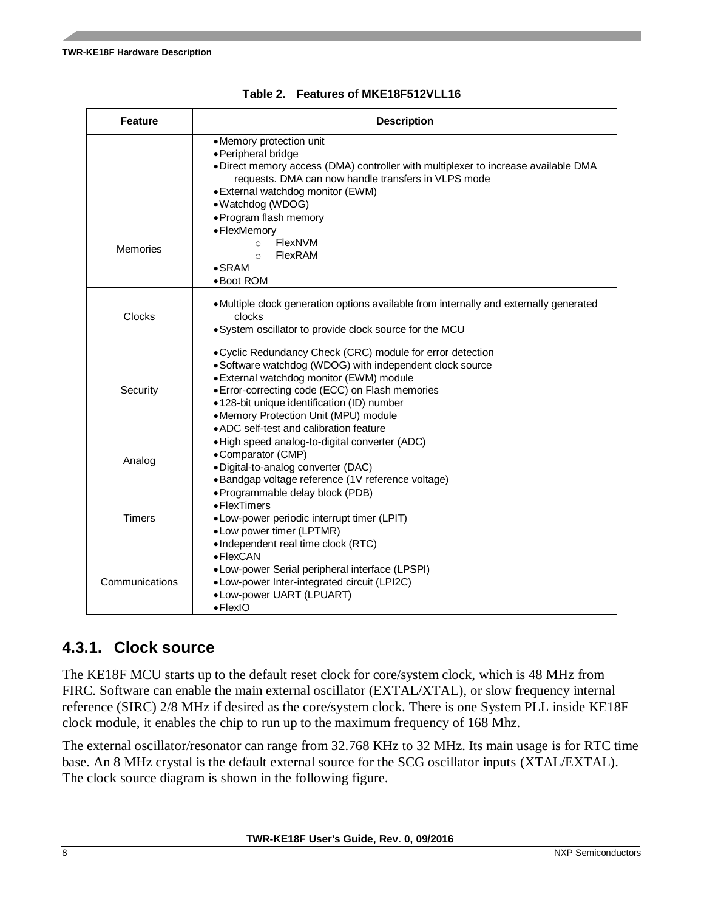| <b>Feature</b> | <b>Description</b>                                                                                                                                                                                                                                                                                                                                     |  |  |  |
|----------------|--------------------------------------------------------------------------------------------------------------------------------------------------------------------------------------------------------------------------------------------------------------------------------------------------------------------------------------------------------|--|--|--|
|                | • Memory protection unit<br>• Peripheral bridge<br>. Direct memory access (DMA) controller with multiplexer to increase available DMA<br>requests. DMA can now handle transfers in VLPS mode<br>• External watchdog monitor (EWM)<br>• Watchdog (WDOG)                                                                                                 |  |  |  |
| Memories       | • Program flash memory<br>• FlexMemory<br>FlexNVM<br>$\circ$<br>FlexRAM<br>$\circ$<br>$\bullet$ SRAM<br>• Boot ROM                                                                                                                                                                                                                                     |  |  |  |
| <b>Clocks</b>  | • Multiple clock generation options available from internally and externally generated<br>clocks<br>. System oscillator to provide clock source for the MCU                                                                                                                                                                                            |  |  |  |
| Security       | . Cyclic Redundancy Check (CRC) module for error detection<br>· Software watchdog (WDOG) with independent clock source<br>· External watchdog monitor (EWM) module<br>· Error-correcting code (ECC) on Flash memories<br>·128-bit unique identification (ID) number<br>•Memory Protection Unit (MPU) module<br>• ADC self-test and calibration feature |  |  |  |
| Analog         | ·High speed analog-to-digital converter (ADC)<br>•Comparator (CMP)<br>·Digital-to-analog converter (DAC)<br>•Bandgap voltage reference (1V reference voltage)                                                                                                                                                                                          |  |  |  |
| Timers         | · Programmable delay block (PDB)<br>• FlexTimers<br>• Low-power periodic interrupt timer (LPIT)<br>• Low power timer (LPTMR)<br>•Independent real time clock (RTC)                                                                                                                                                                                     |  |  |  |
| Communications | • FlexCAN<br>•Low-power Serial peripheral interface (LPSPI)<br>•Low-power Inter-integrated circuit (LPI2C)<br>•Low-power UART (LPUART)<br>$\bullet$ FlexIO                                                                                                                                                                                             |  |  |  |

#### **4.3.1. Clock source**

The KE18F MCU starts up to the default reset clock for core/system clock, which is 48 MHz from FIRC. Software can enable the main external oscillator (EXTAL/XTAL), or slow frequency internal reference (SIRC) 2/8 MHz if desired as the core/system clock. There is one System PLL inside KE18F clock module, it enables the chip to run up to the maximum frequency of 168 Mhz.

The external oscillator/resonator can range from 32.768 KHz to 32 MHz. Its main usage is for RTC time base. An 8 MHz crystal is the default external source for the SCG oscillator inputs (XTAL/EXTAL). The clock source diagram is shown in the following figure.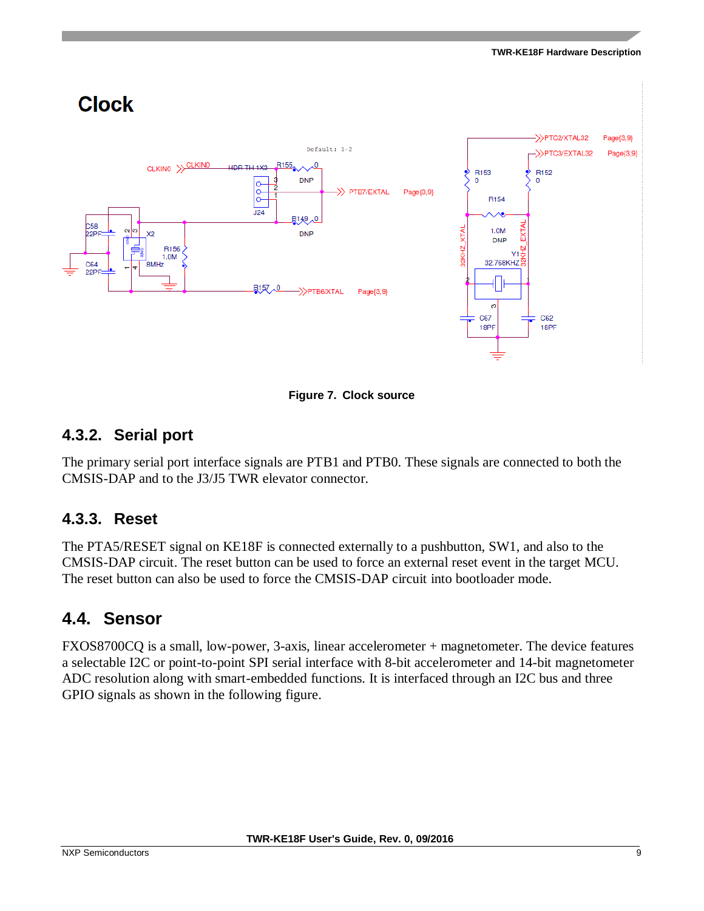#### **TWR-KE18F Hardware Description**



**Figure 7. Clock source**

#### **4.3.2. Serial port**

The primary serial port interface signals are PTB1 and PTB0. These signals are connected to both the CMSIS-DAP and to the J3/J5 TWR elevator connector.

#### **4.3.3. Reset**

The PTA5/RESET signal on KE18F is connected externally to a pushbutton, SW1, and also to the CMSIS-DAP circuit. The reset button can be used to force an external reset event in the target MCU. The reset button can also be used to force the CMSIS-DAP circuit into bootloader mode.

### <span id="page-8-0"></span>**4.4. Sensor**

FXOS8700CQ is a small, low-power, 3-axis, linear accelerometer + magnetometer. The device features a selectable I2C or point-to-point SPI serial interface with 8-bit accelerometer and 14-bit magnetometer ADC resolution along with smart-embedded functions. It is interfaced through an I2C bus and three GPIO signals as shown in the following figure.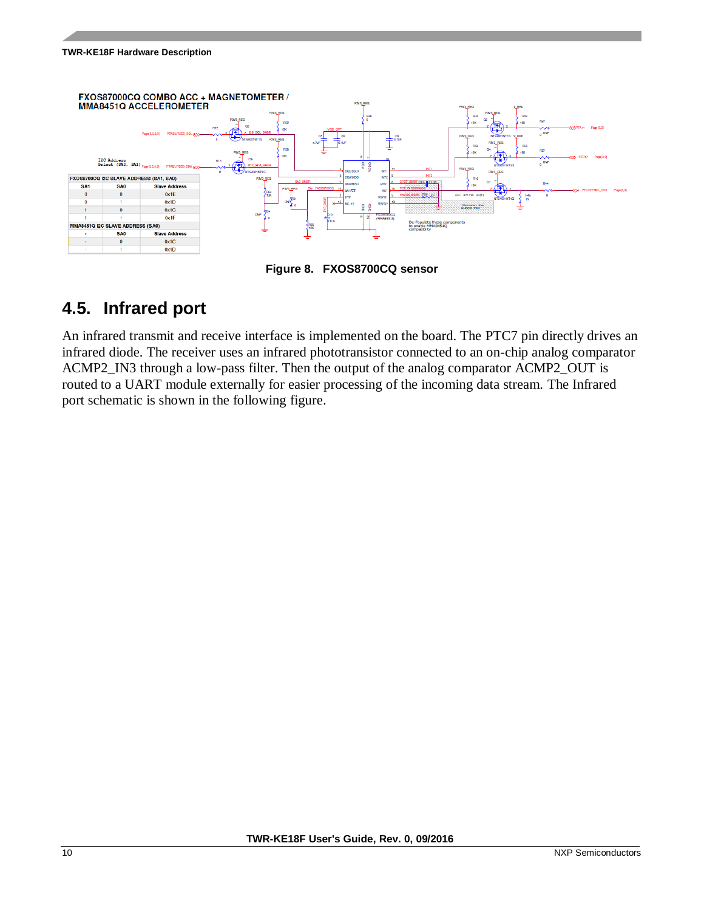#### **TWR-KE18F Hardware Description**



**Figure 8. FXOS8700CQ sensor** 

### <span id="page-9-0"></span>**4.5. Infrared port**

An infrared transmit and receive interface is implemented on the board. The PTC7 pin directly drives an infrared diode. The receiver uses an infrared phototransistor connected to an on-chip analog comparator ACMP2\_IN3 through a low-pass filter. Then the output of the analog comparator ACMP2\_OUT is routed to a UART module externally for easier processing of the incoming data stream. The Infrared port schematic is shown in the following figure.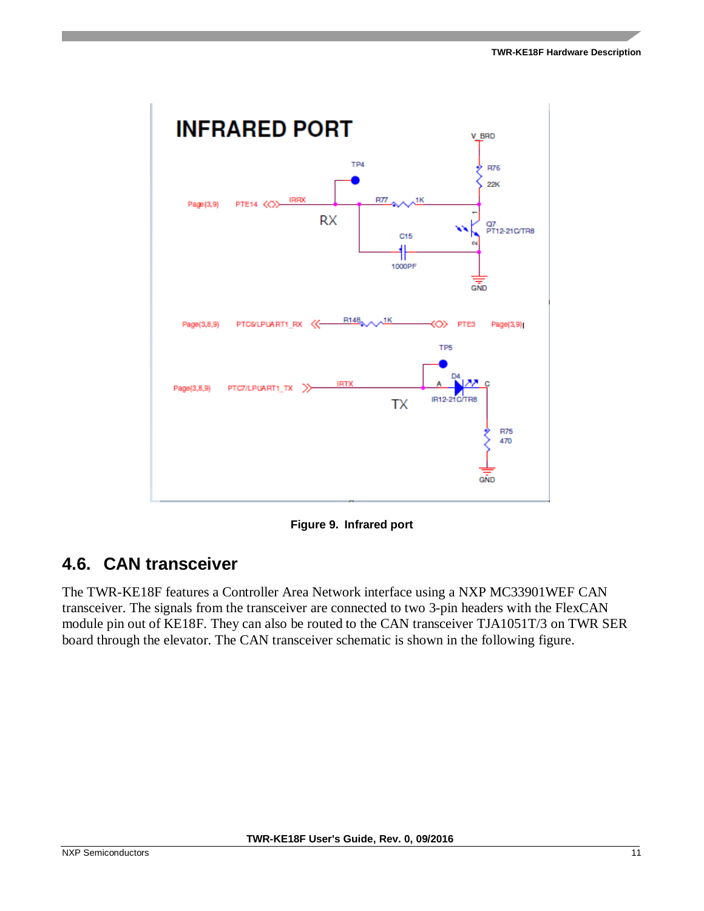

**Figure 9. Infrared port** 

### <span id="page-10-0"></span>**4.6. CAN transceiver**

The TWR-KE18F features a Controller Area Network interface using a NXP MC33901WEF CAN transceiver. The signals from the transceiver are connected to two 3-pin headers with the FlexCAN module pin out of KE18F. They can also be routed to the CAN transceiver TJA1051T/3 on TWR SER board through the elevator. The CAN transceiver schematic is shown in the following figure.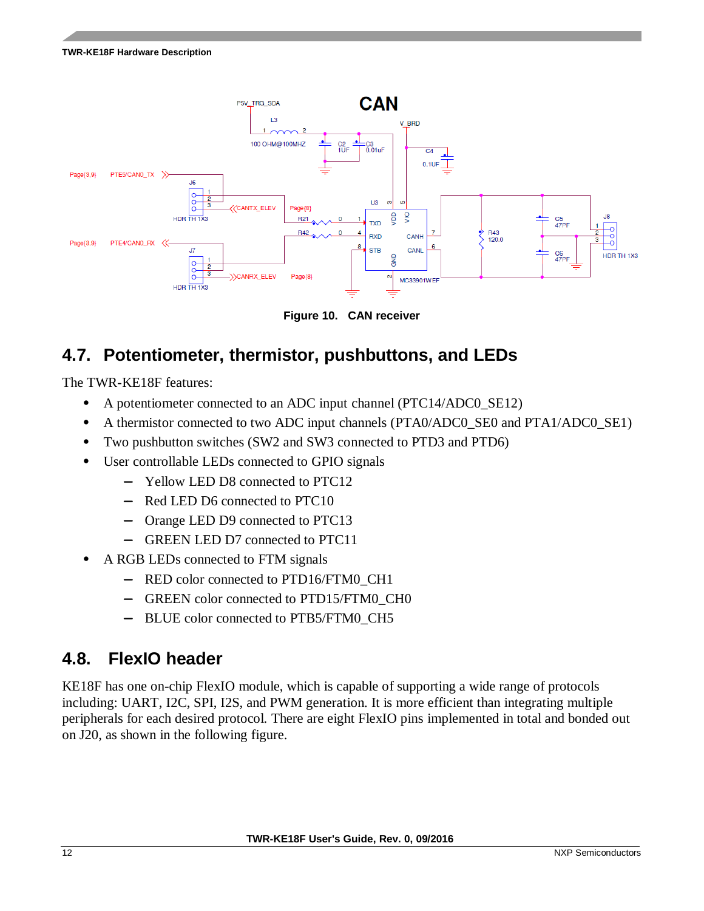

**Figure 10. CAN receiver**

### <span id="page-11-0"></span>**4.7. Potentiometer, thermistor, pushbuttons, and LEDs**

The TWR-KE18F features:

- A potentiometer connected to an ADC input channel (PTC14/ADC0\_SE12)
- A thermistor connected to two ADC input channels (PTA0/ADC0\_SE0 and PTA1/ADC0\_SE1)
- Two pushbutton switches (SW2 and SW3 connected to PTD3 and PTD6)
- User controllable LEDs connected to GPIO signals
	- **—** Yellow LED D8 connected to PTC12
	- **—** Red LED D6 connected to PTC10
	- **—** Orange LED D9 connected to PTC13
	- **—** GREEN LED D7 connected to PTC11
- A RGB LEDs connected to FTM signals
	- **—** RED color connected to PTD16/FTM0\_CH1
	- **—** GREEN color connected to PTD15/FTM0\_CH0
	- **—** BLUE color connected to PTB5/FTM0\_CH5

### <span id="page-11-1"></span>**4.8. FlexIO header**

KE18F has one on-chip FlexIO module, which is capable of supporting a wide range of protocols including: UART, I2C, SPI, I2S, and PWM generation. It is more efficient than integrating multiple peripherals for each desired protocol. There are eight FlexIO pins implemented in total and bonded out on J20, as shown in the following figure.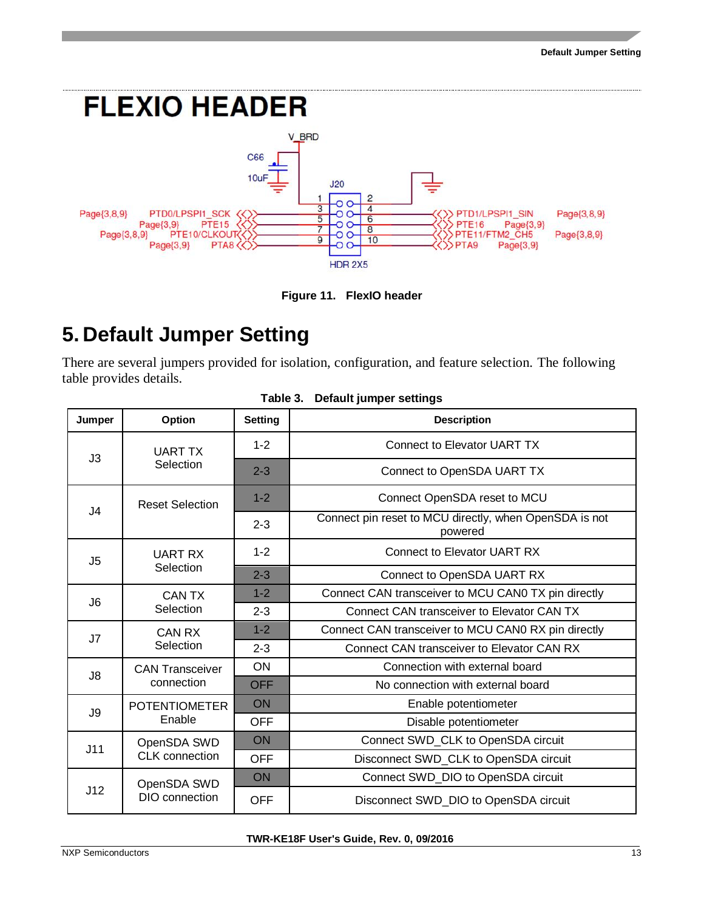

**Figure 11. FlexIO header** 

## <span id="page-12-0"></span>**5. Default Jumper Setting**

There are several jumpers provided for isolation, configuration, and feature selection. The following table provides details.

| Jumper         | Option                         | <b>Setting</b> | <b>Description</b>                                                |  |
|----------------|--------------------------------|----------------|-------------------------------------------------------------------|--|
| J3             | <b>UART TX</b>                 | $1 - 2$        | <b>Connect to Elevator UART TX</b>                                |  |
|                | Selection                      | $2 - 3$        | Connect to OpenSDA UART TX                                        |  |
| J4             | <b>Reset Selection</b>         | $1 - 2$        | Connect OpenSDA reset to MCU                                      |  |
|                |                                | $2 - 3$        | Connect pin reset to MCU directly, when OpenSDA is not<br>powered |  |
| J <sub>5</sub> | <b>UART RX</b><br>Selection    | $1 - 2$        | <b>Connect to Elevator UART RX</b>                                |  |
|                |                                | $2 - 3$        | Connect to OpenSDA UART RX                                        |  |
| J <sub>6</sub> | <b>CANTX</b>                   | $1 - 2$        | Connect CAN transceiver to MCU CAN0 TX pin directly               |  |
|                | Selection                      | $2 - 3$        | Connect CAN transceiver to Elevator CAN TX                        |  |
| J7             | CAN RX                         | $1 - 2$        | Connect CAN transceiver to MCU CAN0 RX pin directly               |  |
|                | Selection                      | $2 - 3$        | Connect CAN transceiver to Elevator CAN RX                        |  |
| J8             | <b>CAN Transceiver</b>         | <b>ON</b>      | Connection with external board                                    |  |
|                | connection                     | <b>OFF</b>     | No connection with external board                                 |  |
| J9             | <b>POTENTIOMETER</b><br>Enable | <b>ON</b>      | Enable potentiometer                                              |  |
|                |                                | <b>OFF</b>     | Disable potentiometer                                             |  |
| J11            | OpenSDA SWD                    | ON             | Connect SWD_CLK to OpenSDA circuit                                |  |
|                | <b>CLK</b> connection          | <b>OFF</b>     | Disconnect SWD_CLK to OpenSDA circuit                             |  |
|                | OpenSDA SWD                    | ON             | Connect SWD_DIO to OpenSDA circuit                                |  |
| J12            | DIO connection                 | <b>OFF</b>     | Disconnect SWD_DIO to OpenSDA circuit                             |  |

#### **Table 3. Default jumper settings**

**TWR-KE18F User's Guide, Rev. 0, 09/2016**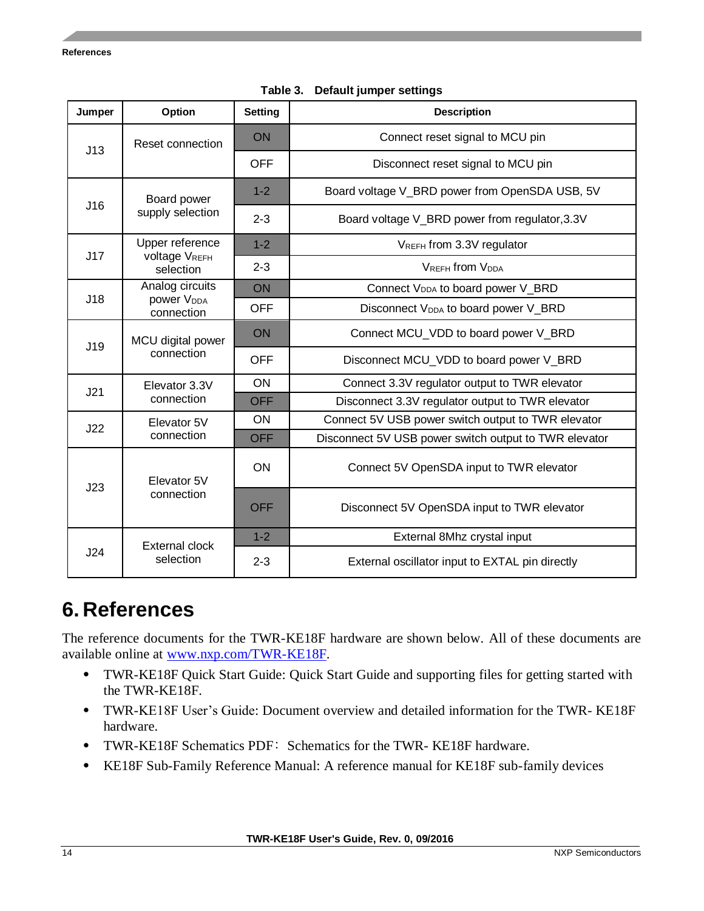| Jumper | Option                                                  | <b>Setting</b> | <b>Description</b>                                    |
|--------|---------------------------------------------------------|----------------|-------------------------------------------------------|
| J13    | Reset connection                                        | ON             | Connect reset signal to MCU pin                       |
|        |                                                         | <b>OFF</b>     | Disconnect reset signal to MCU pin                    |
| J16    | Board power<br>supply selection                         | $1 - 2$        | Board voltage V_BRD power from OpenSDA USB, 5V        |
|        |                                                         | $2 - 3$        | Board voltage V_BRD power from regulator, 3.3V        |
|        | Upper reference                                         | $1 - 2$        | VREFH from 3.3V regulator                             |
| J17    | <b>voltage VREFH</b><br>selection                       | $2 - 3$        | <b>VREFH from VDDA</b>                                |
|        | Analog circuits<br>power V <sub>DDA</sub><br>connection | ON             | Connect V <sub>DDA</sub> to board power V_BRD         |
| J18    |                                                         | <b>OFF</b>     | Disconnect V <sub>DDA</sub> to board power V_BRD      |
| J19    | MCU digital power<br>connection                         | ON             | Connect MCU_VDD to board power V_BRD                  |
|        |                                                         | <b>OFF</b>     | Disconnect MCU_VDD to board power V_BRD               |
| J21    | Elevator 3.3V<br>connection                             | ON             | Connect 3.3V regulator output to TWR elevator         |
|        |                                                         | <b>OFF</b>     | Disconnect 3.3V regulator output to TWR elevator      |
| J22    | Elevator 5V<br>connection                               | <b>ON</b>      | Connect 5V USB power switch output to TWR elevator    |
|        |                                                         | <b>OFF</b>     | Disconnect 5V USB power switch output to TWR elevator |
| J23    | Elevator 5V<br>connection                               | ON             | Connect 5V OpenSDA input to TWR elevator              |
|        |                                                         | <b>OFF</b>     | Disconnect 5V OpenSDA input to TWR elevator           |
|        | <b>External clock</b>                                   | $1 - 2$        | External 8Mhz crystal input                           |
| J24    | selection                                               | $2 - 3$        | External oscillator input to EXTAL pin directly       |

**Table 3. Default jumper settings**

### <span id="page-13-0"></span>**6. References**

The reference documents for the TWR-KE18F hardware are shown below. All of these documents are available online at [www.nxp.com/TWR-KE18F.](www.nxp.com/TWR-KE18F)

- TWR-KE18F Quick Start Guide: Quick Start Guide and supporting files for getting started with the TWR-KE18F.
- TWR-KE18F User's Guide: Document overview and detailed information for the TWR- KE18F hardware.
- TWR-KE18F Schematics PDF: Schematics for the TWR- KE18F hardware.
- KE18F Sub-Family Reference Manual: A reference manual for KE18F sub-family devices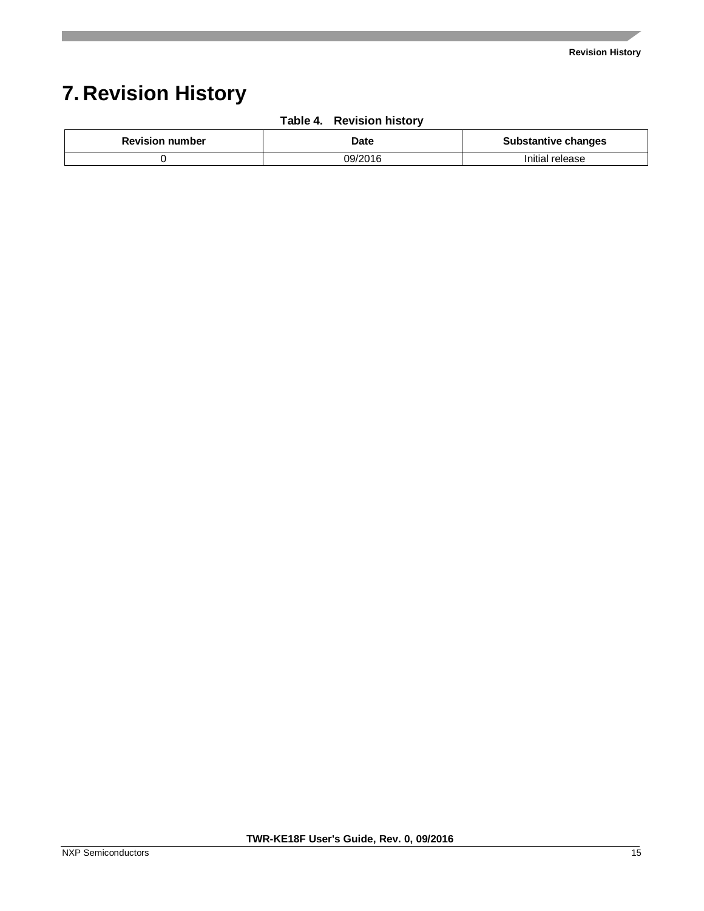## <span id="page-14-0"></span>**7. Revision History**

| <b>Revision number</b> | Date    | <b>Substantive changes</b> |
|------------------------|---------|----------------------------|
|                        | 09/2016 | Initial release            |

#### **Table 4. Revision history**